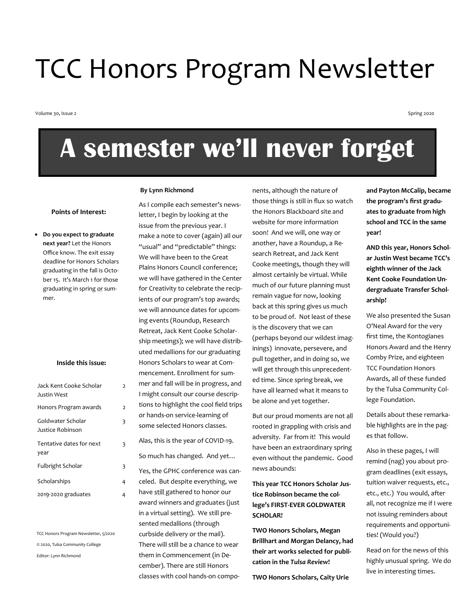# TCC Honors Program Newsletter

Volume 30, Issue 2

Spring 2020

# **A semester we'll never forget**

#### **Points of Interest:**

• **Do you expect to graduate next year?** Let the Honors Office know. The exit essay deadline for Honors Scholars graduating in the fall is October 15. It's March 1 for those graduating in spring or summer.

#### **Inside this issue:**

 $\overline{2}$ 

3

3

| Jack Kent Cooke Scholar<br>Justin West | $\overline{2}$ |
|----------------------------------------|----------------|
| Honors Program awards                  | $\overline{2}$ |
| Goldwater Scholar<br>Justice Robinson  | 3              |
| Tentative dates for next<br>year       | 3              |
| Fulbright Scholar                      | 3              |
| Scholarships                           | 4              |
| 2019-2020 graduates                    | 4              |

TCC Honors Program Newsletter, 5/2020 © 2020, Tulsa Community College Editor: Lynn Richmond

#### **By Lynn Richmond**

As I compile each semester's newsletter, I begin by looking at the issue from the previous year. I make a note to cover (again) all our "usual" and "predictable" things: We will have been to the Great Plains Honors Council conference; we will have gathered in the Center for Creativity to celebrate the recipients of our program's top awards; we will announce dates for upcoming events (Roundup, Research Retreat, Jack Kent Cooke Scholarship meetings); we will have distributed medallions for our graduating Honors Scholars to wear at Commencement. Enrollment for summer and fall will be in progress, and I might consult our course descriptions to highlight the cool field trips or hands-on service-learning of some selected Honors classes.

Alas, this is the year of COVID-19. So much has changed. And yet…

Yes, the GPHC conference was canceled. But despite everything, we have still gathered to honor our award winners and graduates (just in a virtual setting). We still presented medallions (through curbside delivery or the mail). There will still be a chance to wear them in Commencement (in December). There are still Honors classes with cool hands-on components, although the nature of those things is still in flux so watch the Honors Blackboard site and website for more information soon! And we will, one way or another, have a Roundup, a Research Retreat, and Jack Kent Cooke meetings, though they will almost certainly be virtual. While much of our future planning must remain vague for now, looking back at this spring gives us much to be proud of. Not least of these is the discovery that we can (perhaps beyond our wildest imaginings) innovate, persevere, and pull together, and in doing so, we will get through this unprecedented time. Since spring break, we have all learned what it means to be alone and yet together.

But our proud moments are not all rooted in grappling with crisis and adversity. Far from it! This would have been an extraordinary spring even without the pandemic. Good news abounds:

#### **This year TCC Honors Scholar Justice Robinson became the college's FIRST-EVER GOLDWATER SCHOLAR!**

**TWO Honors Scholars, Megan Brillhart and Morgan Delancy, had their art works selected for publication in the** *Tulsa Review***!**

**TWO Honors Scholars, Caity Urie** 

**and Payton McCalip, became the program's first graduates to graduate from high school and TCC in the same year!**

**AND this year, Honors Scholar Justin West became TCC's eighth winner of the Jack Kent Cooke Foundation Undergraduate Transfer Scholarship!**

We also presented the Susan O'Neal Award for the very first time, the Kontogianes Honors Award and the Henry Comby Prize, and eighteen TCC Foundation Honors Awards, all of these funded by the Tulsa Community College Foundation.

Details about these remarkable highlights are in the pages that follow.

Also in these pages, I will remind (nag) you about program deadlines (exit essays, tuition waiver requests, etc., etc., etc.) You would, after all, not recognize me if I were not issuing reminders about requirements and opportunities! (Would you?)

Read on for the news of this highly unusual spring. We do live in interesting times.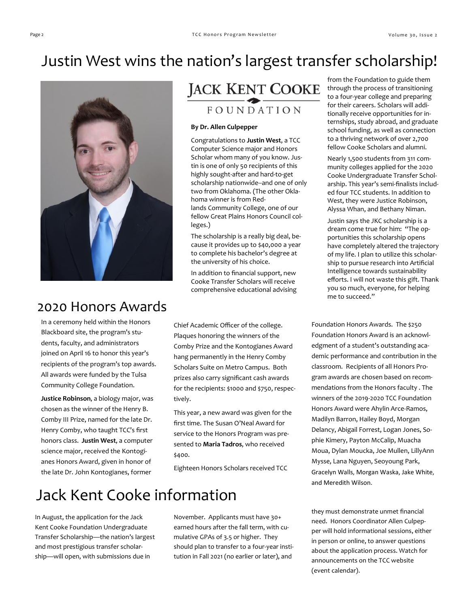# Justin West wins the nation's largest transfer scholarship!



### 2020 Honors Awards

In a ceremony held within the Honors Blackboard site, the program's students, faculty, and administrators joined on April 16 to honor this year's recipients of the program's top awards. All awards were funded by the Tulsa Community College Foundation.

**Justice Robinson**, a biology major, was chosen as the winner of the Henry B. Comby III Prize, named for the late Dr. Henry Comby, who taught TCC's first honors class. **Justin West**, a computer science major, received the Kontogianes Honors Award, given in honor of the late Dr. John Kontogianes, former

## **JACK KENT COOKE** FOUNDATION

#### **By Dr. Allen Culpepper**

Congratulations to **Justin West**, a TCC Computer Science major and Honors Scholar whom many of you know. Justin is one of only 50 recipients of this highly sought-after and hard-to-get scholarship nationwide--and one of only two from Oklahoma. (The other Oklahoma winner is from Redlands Community College, one of our fellow Great Plains Honors Council colleges.)

The scholarship is a really big deal, because it provides up to \$40,000 a year to complete his bachelor's degree at the university of his choice.

In addition to financial support, new Cooke Transfer Scholars will receive comprehensive educational advising

Chief Academic Officer of the college. Plaques honoring the winners of the Comby Prize and the Kontogianes Award hang permanently in the Henry Comby Scholars Suite on Metro Campus. Both prizes also carry significant cash awards for the recipients: \$1000 and \$750, respectively.

This year, a new award was given for the first time. The Susan O'Neal Award for service to the Honors Program was presented to **Maria Tadros**, who received \$400.

Eighteen Honors Scholars received TCC

# Jack Kent Cooke information

In August, the application for the Jack Kent Cooke Foundation Undergraduate Transfer Scholarship—the nation's largest and most prestigious transfer scholarship—will open, with submissions due in

November. Applicants must have 30+ earned hours after the fall term, with cumulative GPAs of 3.5 or higher. They should plan to transfer to a four-year institution in Fall 2021 (no earlier or later), and

from the Foundation to guide them through the process of transitioning to a four-year college and preparing for their careers. Scholars will additionally receive opportunities for internships, study abroad, and graduate school funding, as well as connection to a thriving network of over 2,700 fellow Cooke Scholars and alumni.

Nearly 1,500 students from 311 community colleges applied for the 2020 Cooke Undergraduate Transfer Scholarship. This year's semi-finalists included four TCC students. In addition to West, they were Justice Robinson, Alyssa Whan, and Bethany Niman.

Justin says the JKC scholarship is a dream come true for him: "The opportunities this scholarship opens have completely altered the trajectory of my life. I plan to utilize this scholarship to pursue research into Artificial Intelligence towards sustainability efforts. I will not waste this gift. Thank you so much, everyone, for helping me to succeed."

Foundation Honors Awards. The \$250 Foundation Honors Award is an acknowledgment of a student's outstanding academic performance and contribution in the classroom. Recipients of all Honors Program awards are chosen based on recommendations from the Honors faculty . The winners of the 2019-2020 TCC Foundation Honors Award were Ahylin Arce-Ramos, Madilyn Barron, Hailey Boyd, Morgan Delancy, Abigail Forrest, Logan Jones, Sophie Kimery, Payton McCalip, Muacha Moua, Dylan Moucka, Joe Mullen, LillyAnn Mysse, Lana Nguyen, Seoyoung Park, Gracelyn Walls, Morgan Waska, Jake White, and Meredith Wilson.

they must demonstrate unmet financial need. Honors Coordinator Allen Culpepper will hold informational sessions, either in person or online, to answer questions about the application process. Watch for announcements on the TCC website (event calendar).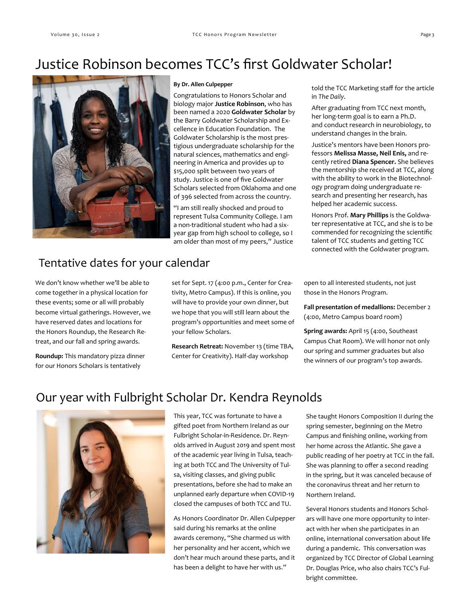## Justice Robinson becomes TCC's first Goldwater Scholar!



#### **By Dr. Allen Culpepper**

Congratulations to Honors Scholar and biology major **Justice Robinson**, who has been named a 2020 **Goldwater Scholar** by the Barry Goldwater Scholarship and Excellence in Education Foundation. The Goldwater Scholarship is the most prestigious undergraduate scholarship for the natural sciences, mathematics and engineering in America and provides up to \$15,000 split between two years of study. Justice is one of five Goldwater Scholars selected from Oklahoma and one of 396 selected from across the country.

"I am still really shocked and proud to represent Tulsa Community College. I am a non-traditional student who had a sixyear gap from high school to college, so I am older than most of my peers," Justice

### Tentative dates for your calendar

We don't know whether we'll be able to come together in a physical location for these events; some or all will probably become virtual gatherings. However, we have reserved dates and locations for the Honors Roundup, the Research Retreat, and our fall and spring awards.

**Roundup:** This mandatory pizza dinner for our Honors Scholars is tentatively

set for Sept. 17 (4:00 p.m., Center for Creativity, Metro Campus). If this is online, you will have to provide your own dinner, but we hope that you will still learn about the program's opportunities and meet some of your fellow Scholars.

**Research Retreat:** November 13 (time TBA, Center for Creativity). Half-day workshop

told the TCC Marketing staff for the article in *The Daily*.

After graduating from TCC next month, her long-term goal is to earn a Ph.D. and conduct research in neurobiology, to understand changes in the brain.

Justice's mentors have been Honors professors **Melissa Masse, Neil Enis,** and recently retired **Diana Spencer.** She believes the mentorship she received at TCC, along with the ability to work in the Biotechnology program doing undergraduate research and presenting her research, has helped her academic success.

Honors Prof. **Mary Phillips** is the Goldwater representative at TCC, and she is to be commended for recognizing the scientific talent of TCC students and getting TCC connected with the Goldwater program.

open to all interested students, not just those in the Honors Program.

**Fall presentation of medallions:** December 2 (4:00, Metro Campus board room)

**Spring awards:** April 15 (4:00, Southeast Campus Chat Room). We will honor not only our spring and summer graduates but also the winners of our program's top awards.

### Our year with Fulbright Scholar Dr. Kendra Reynolds



This year, TCC was fortunate to have a gifted poet from Northern Ireland as our Fulbright Scholar-in-Residence. Dr. Reynolds arrived in August 2019 and spent most of the academic year living in Tulsa, teaching at both TCC and The University of Tulsa, visiting classes, and giving public presentations, before she had to make an unplanned early departure when COVID-19 closed the campuses of both TCC and TU.

As Honors Coordinator Dr. Allen Culpepper said during his remarks at the online awards ceremony, "She charmed us with her personality and her accent, which we don't hear much around these parts, and it has been a delight to have her with us."

She taught Honors Composition II during the spring semester, beginning on the Metro Campus and finishing online, working from her home across the Atlantic. She gave a public reading of her poetry at TCC in the fall. She was planning to offer a second reading in the spring, but it was canceled because of the coronavirus threat and her return to Northern Ireland.

Several Honors students and Honors Scholars will have one more opportunity to interact with her when she participates in an online, international conversation about life during a pandemic. This conversation was organized by TCC Director of Global Learning Dr. Douglas Price, who also chairs TCC's Fulbright committee.